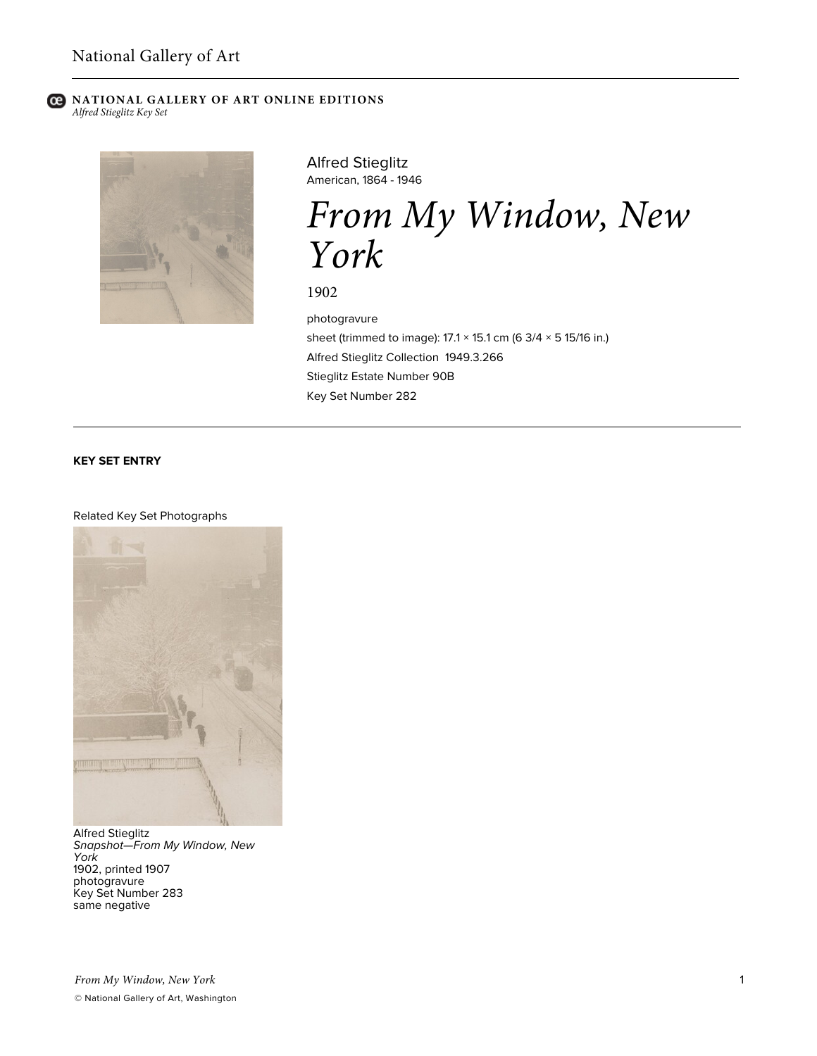#### **C** NATIONAL GALLERY OF ART ONLINE EDITIONS *Alfred Stieglitz Key Set*



Alfred Stieglitz American, 1864 - 1946

*From My Window, New York*

1902

photogravure sheet (trimmed to image): 17.1 × 15.1 cm (6 3/4 × 5 15/16 in.) Alfred Stieglitz Collection 1949.3.266 Stieglitz Estate Number 90B Key Set Number 282

### **KEY SET ENTRY**

#### Related Key Set Photographs



Alfred Stieglitz *Snapshot—From My Window, New York* 1902, printed 1907 photogravure Key Set Number 283 same negative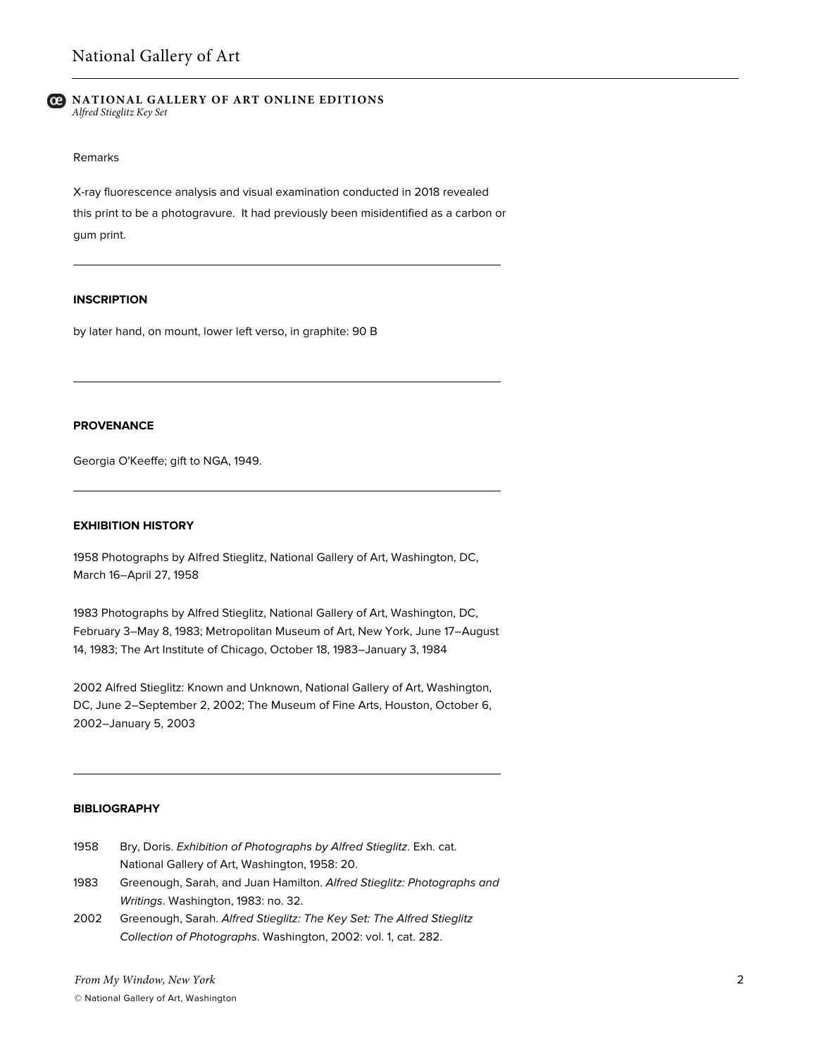#### **NATIONAL GALLERY OF ART ONLINE EDITIONS** *Alfred Stieglitz Key Set*

### Remarks

X-ray fluorescence analysis and visual examination conducted in 2018 revealed this print to be a photogravure. It had previously been misidentified as a carbon or gum print.

# **INSCRIPTION**

by later hand, on mount, lower left verso, in graphite: 90 B

## **PROVENANCE**

Georgia O'Keeffe; gift to NGA, 1949.

## **EXHIBITION HISTORY**

1958 Photographs by Alfred Stieglitz, National Gallery of Art, Washington, DC, March 16–April 27, 1958

1983 Photographs by Alfred Stieglitz, National Gallery of Art, Washington, DC, February 3–May 8, 1983; Metropolitan Museum of Art, New York, June 17–August 14, 1983; The Art Institute of Chicago, October 18, 1983–January 3, 1984

2002 Alfred Stieglitz: Known and Unknown, National Gallery of Art, Washington, DC, June 2–September 2, 2002; The Museum of Fine Arts, Houston, October 6, 2002–January 5, 2003

## **BIBLIOGRAPHY**

- 1958 Bry, Doris. *Exhibition of Photographs by Alfred Stieglitz*. Exh. cat. National Gallery of Art, Washington, 1958: 20.
- 1983 Greenough, Sarah, and Juan Hamilton. *Alfred Stieglitz: Photographs and Writings*. Washington, 1983: no. 32.
- 2002 Greenough, Sarah. *Alfred Stieglitz: The Key Set: The Alfred Stieglitz Collection of Photographs*. Washington, 2002: vol. 1, cat. 282.

*From My Window, New York*

© National Gallery of Art, Washington